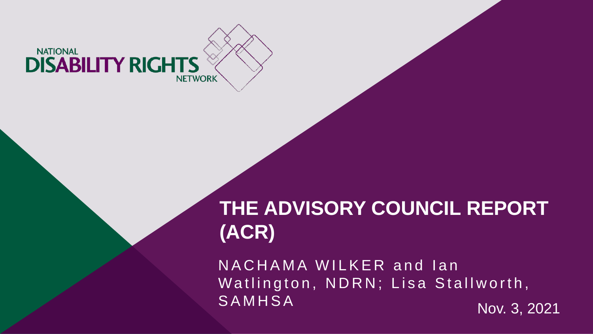

# **THE ADVISORY COUNCIL REPORT (ACR)**

NACHAMA WILKER and Ian Watlington, NDRN; Lisa Stallworth, S A M H S A Nov. 3, 2021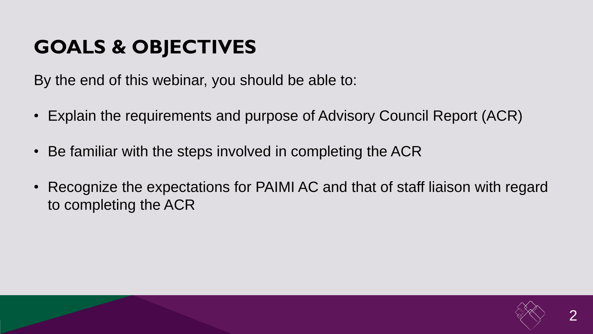# **GOALS & OBJECTIVES**

By the end of this webinar, you should be able to:

- Explain the requirements and purpose of Advisory Council Report (ACR)
- Be familiar with the steps involved in completing the ACR
- Recognize the expectations for PAIMI AC and that of staff liaison with regard to completing the ACR

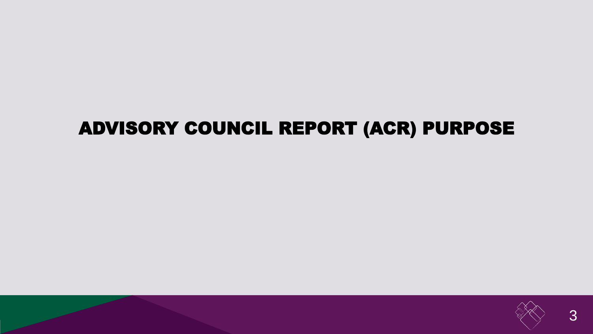#### ADVISORY COUNCIL REPORT (ACR) PURPOSE

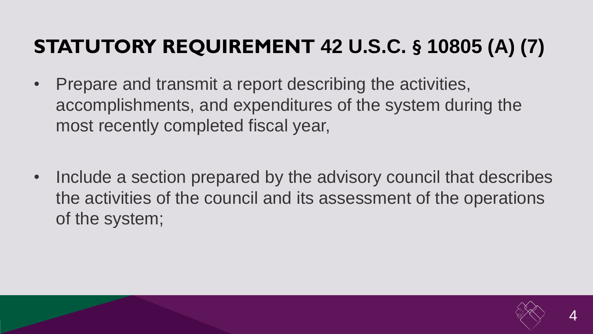# **STATUTORY REQUIREMENT 42 U.S.C. § 10805 (A) (7)**

- Prepare and transmit a report describing the activities, accomplishments, and expenditures of the system during the most recently completed fiscal year,
- Include a section prepared by the advisory council that describes the activities of the council and its assessment of the operations of the system;

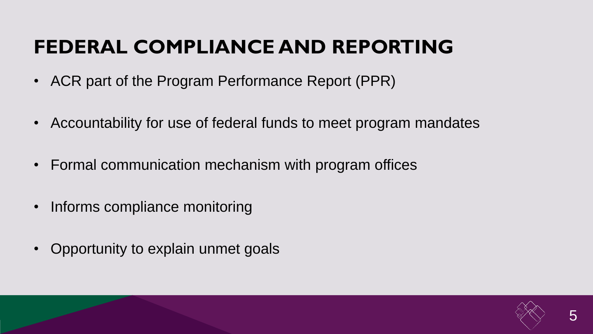# **FEDERAL COMPLIANCE AND REPORTING**

- ACR part of the Program Performance Report (PPR)
- Accountability for use of federal funds to meet program mandates
- Formal communication mechanism with program offices
- Informs compliance monitoring
- Opportunity to explain unmet goals

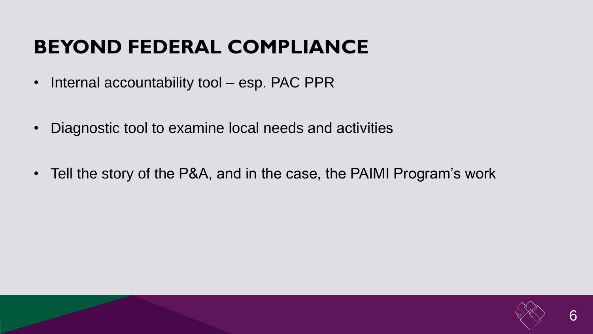## **BEYOND FEDERAL COMPLIANCE**

- Internal accountability tool esp. PAC PPR
- Diagnostic tool to examine local needs and activities
- Tell the story of the P&A, and in the case, the PAIMI Program's work

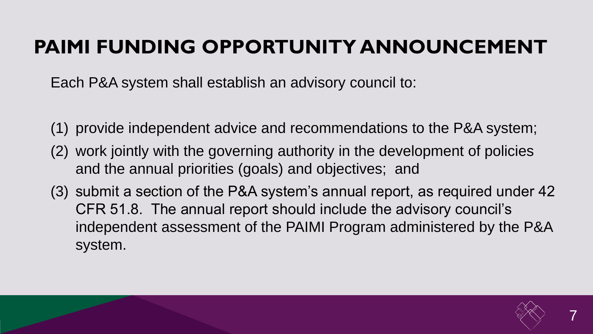## **PAIMI FUNDING OPPORTUNITY ANNOUNCEMENT**

Each P&A system shall establish an advisory council to:

- (1) provide independent advice and recommendations to the P&A system;
- (2) work jointly with the governing authority in the development of policies and the annual priorities (goals) and objectives; and
- (3) submit a section of the P&A system's annual report, as required under 42 CFR 51.8. The annual report should include the advisory council's independent assessment of the PAIMI Program administered by the P&A system.

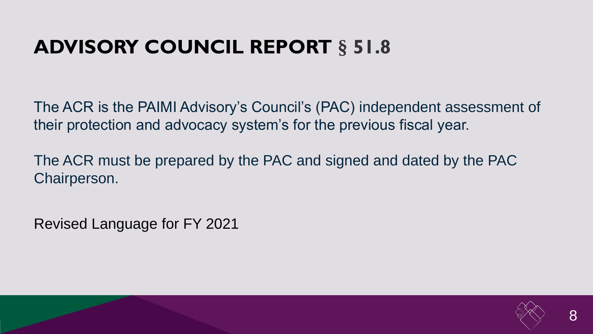## **ADVISORY COUNCIL REPORT § 51.8**

The ACR is the PAIMI Advisory's Council's (PAC) independent assessment of their protection and advocacy system's for the previous fiscal year.

The ACR must be prepared by the PAC and signed and dated by the PAC Chairperson.

Revised Language for FY 2021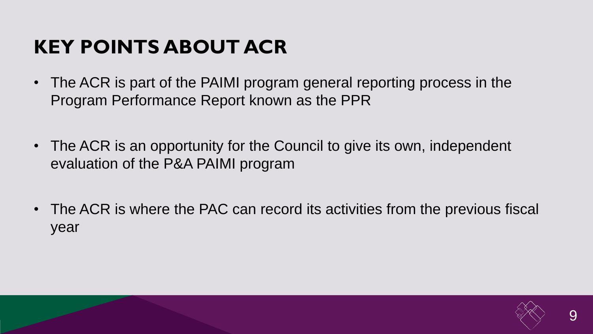## **KEY POINTS ABOUT ACR**

- The ACR is part of the PAIMI program general reporting process in the Program Performance Report known as the PPR
- The ACR is an opportunity for the Council to give its own, independent evaluation of the P&A PAIMI program
- The ACR is where the PAC can record its activities from the previous fiscal year

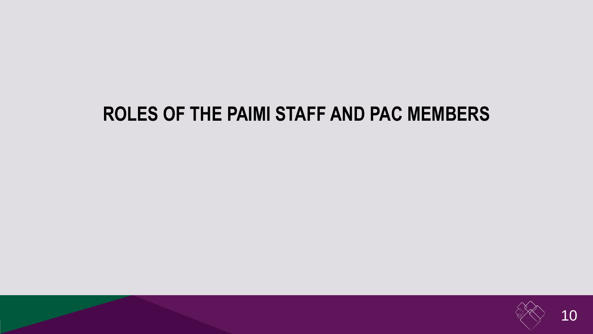#### **ROLES OF THE PAIMI STAFF AND PAC MEMBERS**

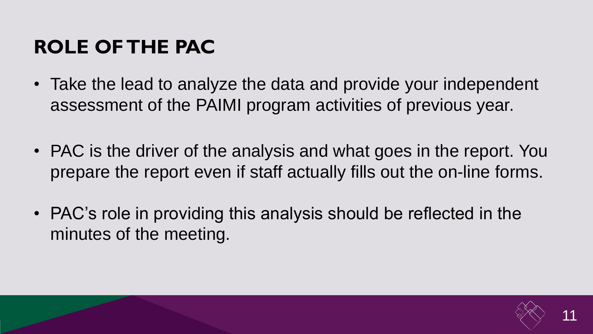## **ROLE OF THE PAC**

- Take the lead to analyze the data and provide your independent assessment of the PAIMI program activities of previous year.
- PAC is the driver of the analysis and what goes in the report. You prepare the report even if staff actually fills out the on-line forms.
- PAC's role in providing this analysis should be reflected in the minutes of the meeting.

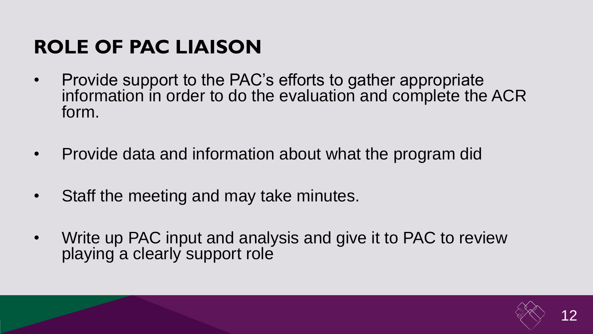## **ROLE OF PAC LIAISON**

- Provide support to the PAC's efforts to gather appropriate information in order to do the evaluation and complete the ACR form.
- Provide data and information about what the program did
- Staff the meeting and may take minutes.
- Write up PAC input and analysis and give it to PAC to review playing a clearly support role

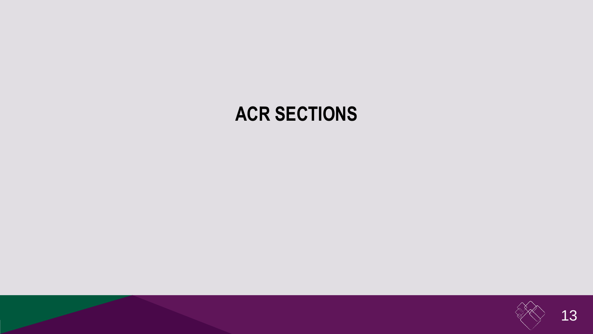#### **ACR SECTIONS**

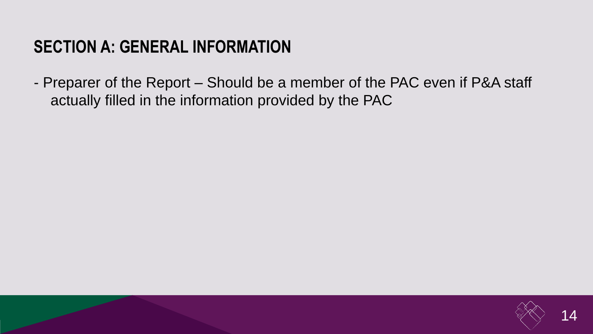#### **SECTION A: GENERAL INFORMATION**

- Preparer of the Report – Should be a member of the PAC even if P&A staff actually filled in the information provided by the PAC

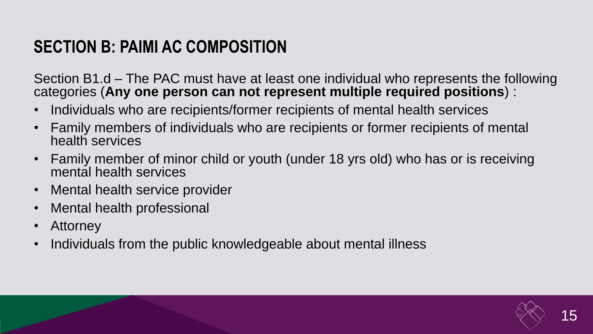#### **SECTION B: PAIMI AC COMPOSITION**

Section B1.d – The PAC must have at least one individual who represents the following categories (**Any one person can not represent multiple required positions**) :

- Individuals who are recipients/former recipients of mental health services
- Family members of individuals who are recipients or former recipients of mental health services
- Family member of minor child or youth (under 18 yrs old) who has or is receiving mental health services
- Mental health service provider
- Mental health professional
- Attorney
- Individuals from the public knowledgeable about mental illness

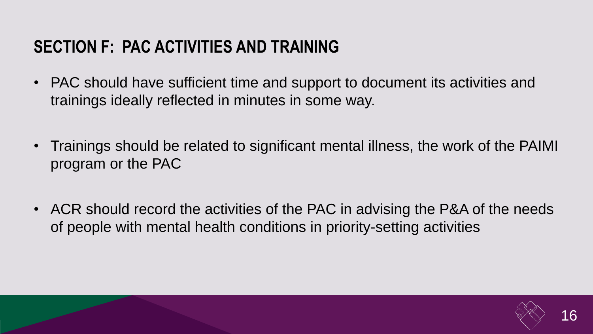#### **SECTION F: PAC ACTIVITIES AND TRAINING**

- PAC should have sufficient time and support to document its activities and trainings ideally reflected in minutes in some way.
- Trainings should be related to significant mental illness, the work of the PAIMI program or the PAC
- ACR should record the activities of the PAC in advising the P&A of the needs of people with mental health conditions in priority-setting activities

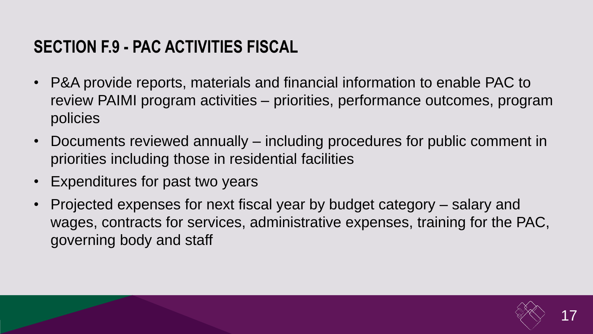#### **SECTION F.9 - PAC ACTIVITIES FISCAL**

- P&A provide reports, materials and financial information to enable PAC to review PAIMI program activities – priorities, performance outcomes, program policies
- Documents reviewed annually including procedures for public comment in priorities including those in residential facilities
- Expenditures for past two years
- Projected expenses for next fiscal year by budget category salary and wages, contracts for services, administrative expenses, training for the PAC, governing body and staff

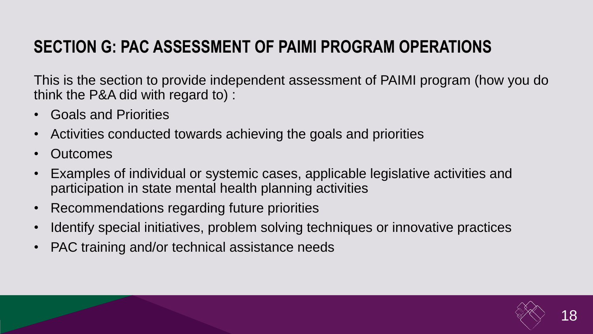#### **SECTION G: PAC ASSESSMENT OF PAIMI PROGRAM OPERATIONS**

This is the section to provide independent assessment of PAIMI program (how you do think the P&A did with regard to) :

- Goals and Priorities
- Activities conducted towards achieving the goals and priorities
- Outcomes
- Examples of individual or systemic cases, applicable legislative activities and participation in state mental health planning activities
- Recommendations regarding future priorities
- Identify special initiatives, problem solving techniques or innovative practices
- PAC training and/or technical assistance needs

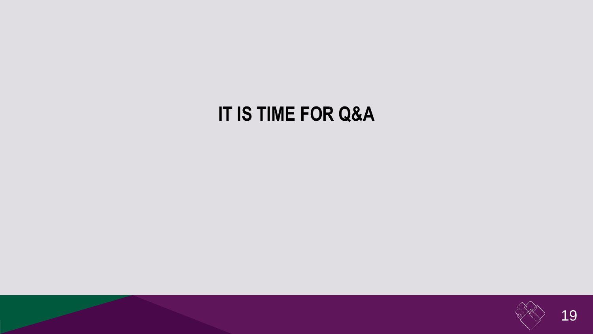### **IT IS TIME FOR Q&A**

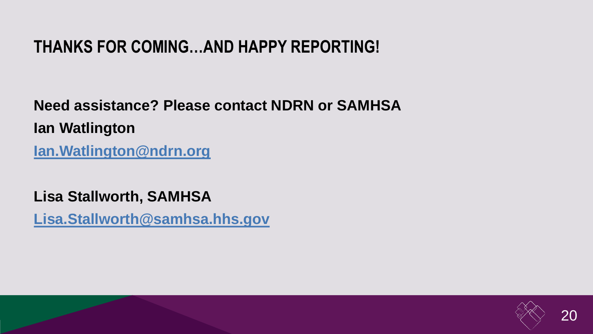#### **THANKS FOR COMING…AND HAPPY REPORTING!**

**Need assistance? Please contact NDRN or SAMHSA Ian Watlington [Ian.Watlington@ndrn.org](mailto:Ian.Watlington@ndrn.org)**

**Lisa Stallworth, SAMHSA**

**[Lisa.Stallworth@samhsa.hhs.gov](mailto:Lisa.Stallworth@samhsa.hhs.gov)**